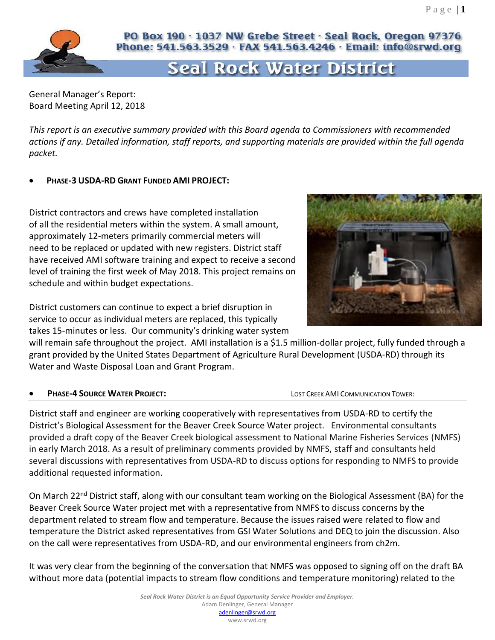

# PO Box 190 · 1037 NW Grebe Street · Seal Rock, Oregon 97376 Phone: 541.563.3529 · FAX 541.563.4246 · Email: info@srwd.org

# Seal Rock Water District

General Manager's Report: Board Meeting April 12, 2018

*This report is an executive summary provided with this Board agenda to Commissioners with recommended actions if any. Detailed information, staff reports, and supporting materials are provided within the full agenda packet.* 

### • **PHASE-3 USDA-RD GRANT FUNDED AMI PROJECT:**

District contractors and crews have completed installation of all the residential meters within the system. A small amount, approximately 12-meters primarily commercial meters will need to be replaced or updated with new registers. District staff have received AMI software training and expect to receive a second level of training the first week of May 2018. This project remains on schedule and within budget expectations.

District customers can continue to expect a brief disruption in service to occur as individual meters are replaced, this typically takes 15-minutes or less. Our community's drinking water system



will remain safe throughout the project. AMI installation is a \$1.5 million-dollar project, fully funded through a grant provided by the United States Department of Agriculture Rural Development (USDA-RD) through its Water and Waste Disposal Loan and Grant Program.

**PHASE-4 SOURCE WATER PROJECT:** A BOURD CONTROLLY COMMUNICATION TOWER:

District staff and engineer are working cooperatively with representatives from USDA-RD to certify the District's Biological Assessment for the Beaver Creek Source Water project. Environmental consultants provided a draft copy of the Beaver Creek biological assessment to National Marine Fisheries Services (NMFS) in early March 2018. As a result of preliminary comments provided by NMFS, staff and consultants held several discussions with representatives from USDA-RD to discuss options for responding to NMFS to provide additional requested information.

On March 22<sup>nd</sup> District staff, along with our consultant team working on the Biological Assessment (BA) for the Beaver Creek Source Water project met with a representative from NMFS to discuss concerns by the department related to stream flow and temperature. Because the issues raised were related to flow and temperature the District asked representatives from GSI Water Solutions and DEQ to join the discussion. Also on the call were representatives from USDA-RD, and our environmental engineers from ch2m.

It was very clear from the beginning of the conversation that NMFS was opposed to signing off on the draft BA without more data (potential impacts to stream flow conditions and temperature monitoring) related to the

www.srwd.org